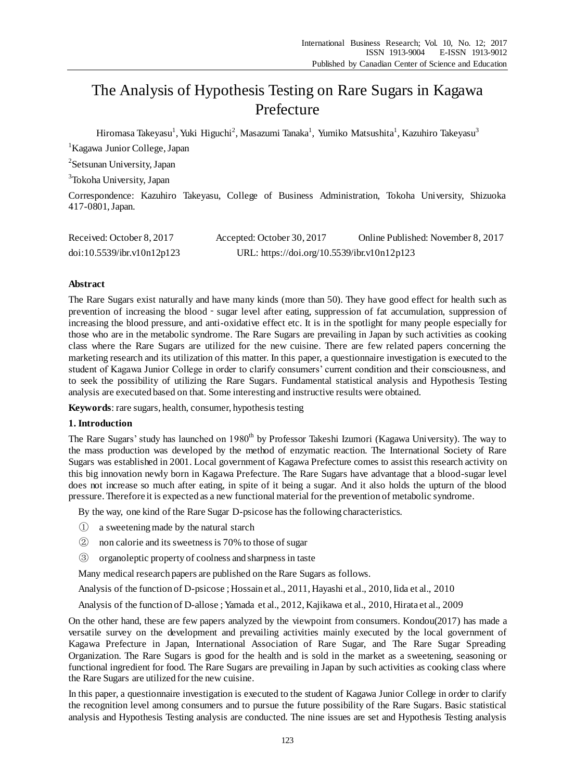# The Analysis of Hypothesis Testing on Rare Sugars in Kagawa Prefecture

Hiromasa Takeyasu<sup>1</sup>, Yuki Higuchi<sup>2</sup>, Masazumi Tanaka<sup>1</sup>, Yumiko Matsushita<sup>1</sup>, Kazuhiro Takeyasu<sup>3</sup>

<sup>1</sup> Kagawa Junior College, Japan

<sup>2</sup>Setsunan University, Japan

<sup>3</sup>Tokoha University, Japan

Correspondence: Kazuhiro Takeyasu, College of Business Administration, Tokoha University, Shizuoka 417-0801, Japan.

| Received: October 8, 2017  | Accepted: October 30, 2017                  | Online Published: November 8, 2017 |
|----------------------------|---------------------------------------------|------------------------------------|
| doi:10.5539/ibr.v10n12p123 | URL: https://doi.org/10.5539/ibr.v10n12p123 |                                    |

### **Abstract**

The Rare Sugars exist naturally and have many kinds (more than 50). They have good effect for health such as prevention of increasing the blood - sugar level after eating, suppression of fat accumulation, suppression of increasing the blood pressure, and anti-oxidative effect etc. It is in the spotlight for many people especially for those who are in the metabolic syndrome. The Rare Sugars are prevailing in Japan by such activities as cooking class where the Rare Sugars are utilized for the new cuisine. There are few related papers concerning the marketing research and its utilization of this matter. In this paper, a questionnaire investigation is executed to the student of Kagawa Junior College in order to clarify consumers' current condition and their consciousness, and to seek the possibility of utilizing the Rare Sugars. Fundamental statistical analysis and Hypothesis Testing analysis are executed based on that. Some interesting and instructive results were obtained.

**Keywords**: rare sugars, health, consumer, hypothesis testing

### **1. Introduction**

The Rare Sugars' study has launched on 1980<sup>th</sup> by Professor Takeshi Izumori (Kagawa University). The way to the mass production was developed by the method of enzymatic reaction. The International Society of Rare Sugars was established in 2001. Local government of Kagawa Prefecture comes to assist this research activity on this big innovation newly born in Kagawa Prefecture. The Rare Sugars have advantage that a blood-sugar level does not increase so much after eating, in spite of it being a sugar. And it also holds the upturn of the blood pressure. Therefore it is expected as a new functional material for the prevention of metabolic syndrome.

By the way, one kind of the Rare Sugar D-psicose has the following characteristics.

- ① a sweetening made by the natural starch
- ② non calorie and its sweetness is 70% to those of sugar
- ③ organoleptic property of coolness and sharpness in taste

Many medical research papers are published on the Rare Sugars as follows.

Analysis of the function of D-psicose ;Hossain et al., 2011, Hayashi et al., 2010, Iida et al., 2010

Analysis of the function of D-allose ; Yamada et al., 2012, Kajikawa et al., 2010, Hirata et al., 2009

On the other hand, these are few papers analyzed by the viewpoint from consumers. Kondou(2017) has made a versatile survey on the development and prevailing activities mainly executed by the local government of Kagawa Prefecture in Japan, International Association of Rare Sugar, and The Rare Sugar Spreading Organization. The Rare Sugars is good for the health and is sold in the market as a sweetening, seasoning or functional ingredient for food. The Rare Sugars are prevailing in Japan by such activities as cooking class where the Rare Sugars are utilized for the new cuisine.

In this paper, a questionnaire investigation is executed to the student of Kagawa Junior College in order to clarify the recognition level among consumers and to pursue the future possibility of the Rare Sugars. Basic statistical analysis and Hypothesis Testing analysis are conducted. The nine issues are set and Hypothesis Testing analysis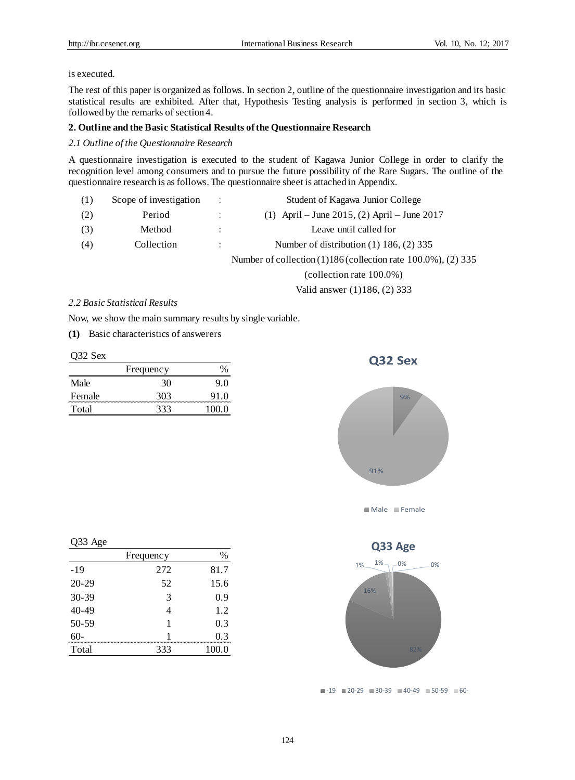### is executed.

The rest of this paper is organized as follows. In section 2, outline of the questionnaire investigation and its basic statistical results are exhibited. After that, Hypothesis Testing analysis is performed in section 3, which is followed by the remarks of section 4.

### **2. Outline and the Basic Statistical Results of the Questionnaire Research**

### *2.1 Outline of the Questionnaire Research*

A questionnaire investigation is executed to the student of Kagawa Junior College in order to clarify the recognition level among consumers and to pursue the future possibility of the Rare Sugars. The outline of the questionnaire research is as follows. The questionnaire sheet is attached in Appendix.

| (1) | Scope of investigation | ÷ | Student of Kagawa Junior College                                  |
|-----|------------------------|---|-------------------------------------------------------------------|
| (2) | Period                 |   | (1) April – June 2015, (2) April – June 2017                      |
| (3) | Method                 | ÷ | Leave until called for                                            |
| (4) | Collection             | ÷ | Number of distribution $(1)$ 186, $(2)$ 335                       |
|     |                        |   | Number of collection $(1)186$ (collection rate 100.0%), $(2)$ 335 |

(collection rate 100.0%)

Valid answer (1)186, (2) 333

#### *2.2 Basic Statistical Results*

Now, we show the main summary results by single variable.

**(1)** Basic characteristics of answerers

Q32 Sex

|        | Frequency |       |
|--------|-----------|-------|
| Male   | 30        | 9.0   |
| Female | 303       | 91.0  |
| Total  | 333       | 100 O |



**Q32 Sex**

91%

Q33 Age

| ັ                  |           |       |
|--------------------|-----------|-------|
|                    | Frequency | $\%$  |
| $-19$              | 272       | 81.7  |
| $20-29$            | 52        | 15.6  |
|                    |           | 0.9   |
| $30-39$<br>$40-49$ |           | 1.2   |
| $50-59$            |           | 0.3   |
| $60 -$             |           | 03    |
| Total              | 333       | 100.0 |
|                    |           |       |



Male Female

 $\blacksquare$ -19  $\blacksquare$  20-29  $\blacksquare$  30-39  $\blacksquare$  40-49  $\blacksquare$  50-59  $\blacksquare$  60-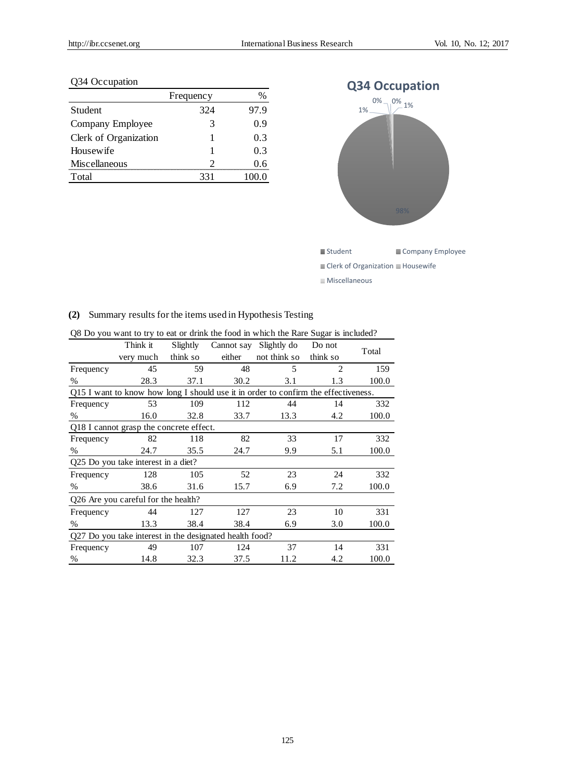### Q34 Occupation

|                       | Frequency |      |
|-----------------------|-----------|------|
| Student               | 324       | 97.9 |
| Company Employee      | 3         | 0.9  |
| Clerk of Organization |           | 0.3  |
| Housewife             |           | 0.3  |
| Miscellaneous         |           | 06   |
| Total                 | 331       |      |



### **(2)** Summary results for the items used in Hypothesis Testing

|           | Slightly |                                                                            | Slightly do                             | Do not                                                                | Total                                                                              |
|-----------|----------|----------------------------------------------------------------------------|-----------------------------------------|-----------------------------------------------------------------------|------------------------------------------------------------------------------------|
| very much | think so | either                                                                     | not think so                            | think so                                                              |                                                                                    |
| 45        | 59       | 48                                                                         | 5                                       | $\overline{2}$                                                        | 159                                                                                |
| 28.3      | 37.1     | 30.2                                                                       | 3.1                                     | 1.3                                                                   | 100.0                                                                              |
|           |          |                                                                            |                                         |                                                                       |                                                                                    |
| 53        | 109      | 112                                                                        | 44                                      | 14                                                                    | 332                                                                                |
| 16.0      | 32.8     | 33.7                                                                       | 13.3                                    | 4.2                                                                   | 100.0                                                                              |
|           |          |                                                                            |                                         |                                                                       |                                                                                    |
| 82        | 118      | 82                                                                         | 33                                      | 17                                                                    | 332                                                                                |
| 24.7      | 35.5     | 24.7                                                                       | 9.9                                     | 5.1                                                                   | 100.0                                                                              |
|           |          |                                                                            |                                         |                                                                       |                                                                                    |
| 128       | 105      | 52                                                                         | 23                                      | 24                                                                    | 332                                                                                |
| 38.6      | 31.6     | 15.7                                                                       | 6.9                                     | 7.2                                                                   | 100.0                                                                              |
|           |          |                                                                            |                                         |                                                                       |                                                                                    |
| 44        | 127      | 127                                                                        | 23                                      | 10                                                                    | 331                                                                                |
| 13.3      | 38.4     | 38.4                                                                       | 6.9                                     | 3.0                                                                   | 100.0                                                                              |
|           |          |                                                                            |                                         |                                                                       |                                                                                    |
| 49        | 107      | 124                                                                        | 37                                      | 14                                                                    | 331                                                                                |
| 14.8      | 32.3     | 37.5                                                                       | 11.2                                    | 4.2                                                                   | 100.0                                                                              |
|           | Think it | Q25 Do you take interest in a diet?<br>Q26 Are you careful for the health? | Q18 I cannot grasp the concrete effect. | Cannot say<br>Q27 Do you take interest in the designated health food? | Q15 I want to know how long I should use it in order to confirm the effectiveness. |

Q8 Do you want to try to eat or drink the food in which the Rare Sugar is included?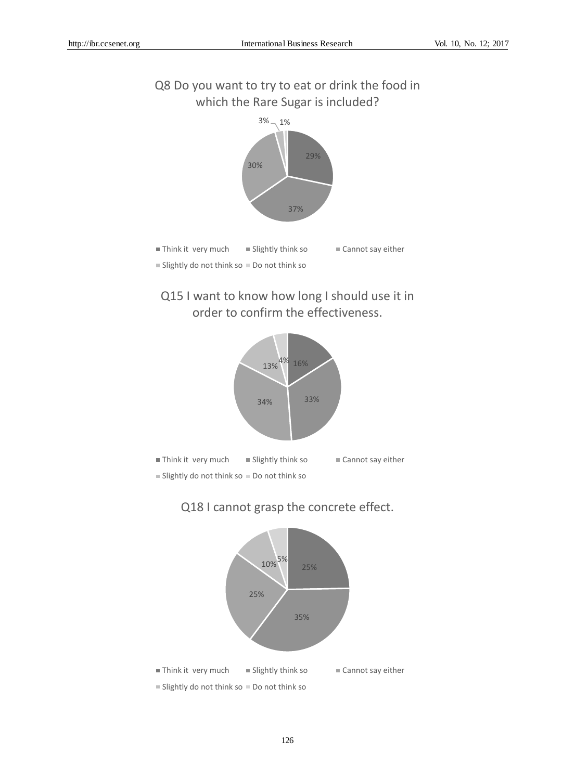## Q8 Do you want to try to eat or drink the food in which the Rare Sugar is included?







## Q18 I cannot grasp the concrete effect.

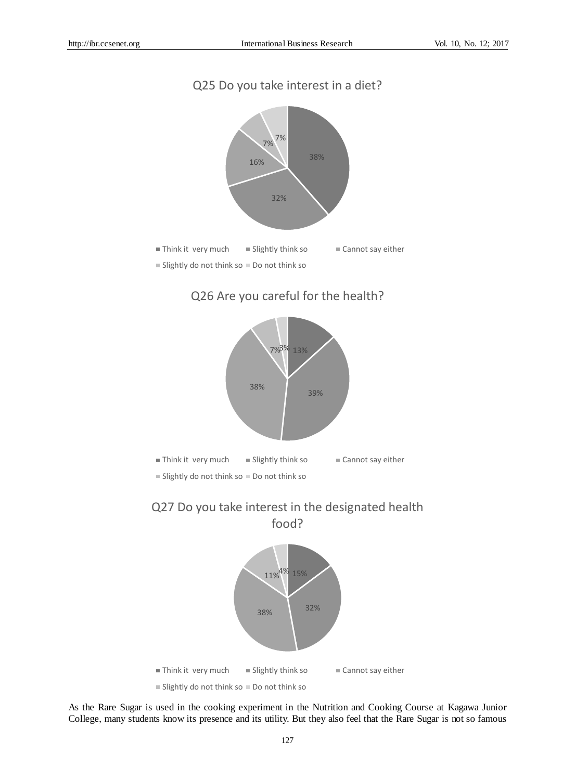## Q25 Do you take interest in a diet?



## Q26 Are you careful for the health?



## Q27 Do you take interest in the designated health food?



As the Rare Sugar is used in the cooking experiment in the Nutrition and Cooking Course at Kagawa Junior College, many students know its presence and its utility. But they also feel that the Rare Sugar is not so famous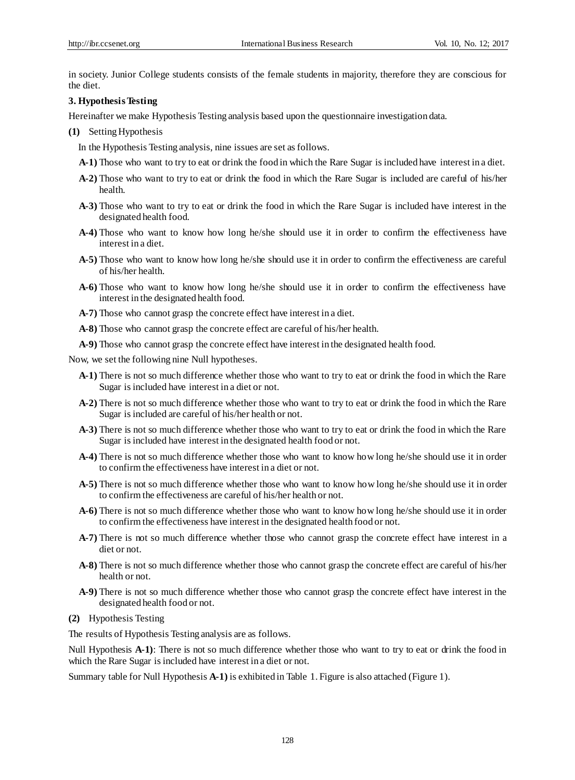in society. Junior College students consists of the female students in majority, therefore they are conscious for the diet.

### **3. Hypothesis Testing**

Hereinafter we make Hypothesis Testing analysis based upon the questionnaire investigation data.

**(1)** Setting Hypothesis

In the Hypothesis Testing analysis, nine issues are set as follows.

- **A-1)** Those who want to try to eat or drink the food in which the Rare Sugar is included have interest in a diet.
- **A-2)** Those who want to try to eat or drink the food in which the Rare Sugar is included are careful of his/her health.
- **A-3)** Those who want to try to eat or drink the food in which the Rare Sugar is included have interest in the designated health food.
- **A-4)** Those who want to know how long he/she should use it in order to confirm the effectiveness have interest in a diet.
- **A-5)** Those who want to know how long he/she should use it in order to confirm the effectiveness are careful of his/her health.
- **A-6)** Those who want to know how long he/she should use it in order to confirm the effectiveness have interest in the designated health food.
- **A-7)** Those who cannot grasp the concrete effect have interest in a diet.
- **A-8)** Those who cannot grasp the concrete effect are careful of his/her health.
- **A-9)** Those who cannot grasp the concrete effect have interest in the designated health food.

Now, we set the following nine Null hypotheses.

- **A-1)** There is not so much difference whether those who want to try to eat or drink the food in which the Rare Sugar is included have interest in a diet or not.
- **A-2)** There is not so much difference whether those who want to try to eat or drink the food in which the Rare Sugar is included are careful of his/her health or not.
- **A-3)** There is not so much difference whether those who want to try to eat or drink the food in which the Rare Sugar is included have interest in the designated health food or not.
- **A-4)** There is not so much difference whether those who want to know how long he/she should use it in order to confirm the effectiveness have interest in a diet or not.
- **A-5)** There is not so much difference whether those who want to know how long he/she should use it in order to confirm the effectiveness are careful of his/her health or not.
- **A-6)** There is not so much difference whether those who want to know how long he/she should use it in order to confirm the effectiveness have interest in the designated health food or not.
- **A-7)** There is not so much difference whether those who cannot grasp the concrete effect have interest in a diet or not.
- **A-8)** There is not so much difference whether those who cannot grasp the concrete effect are careful of his/her health or not.
- **A-9)** There is not so much difference whether those who cannot grasp the concrete effect have interest in the designated health food or not.
- **(2)** Hypothesis Testing

The results of Hypothesis Testing analysis are as follows.

Null Hypothesis A-1): There is not so much difference whether those who want to try to eat or drink the food in which the Rare Sugar is included have interest in a diet or not.

Summary table for Null Hypothesis **A-1)** is exhibited in Table 1. Figure is also attached (Figure 1).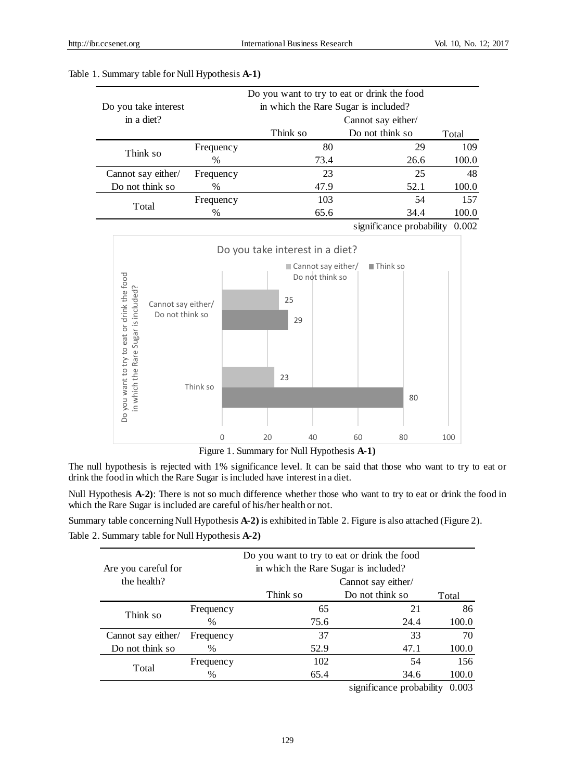| Do you take interest | Do you want to try to eat or drink the food<br>in which the Rare Sugar is included? |          |                          |       |  |
|----------------------|-------------------------------------------------------------------------------------|----------|--------------------------|-------|--|
| in a diet?           |                                                                                     |          | Cannot say either/       |       |  |
|                      |                                                                                     | Think so | Do not think so          | Total |  |
|                      | Frequency                                                                           | 80       | 29                       | 109   |  |
| Think so             | $\%$                                                                                | 73.4     | 26.6                     | 100.0 |  |
| Cannot say either/   | Frequency                                                                           | 23       | 25                       | 48    |  |
| Do not think so      | $\%$                                                                                | 47.9     | 52.1                     | 100.0 |  |
| Total                | Frequency                                                                           | 103      | 54                       | 157   |  |
|                      | $\%$                                                                                | 65.6     | 34.4                     | 100.0 |  |
|                      |                                                                                     |          | significance probability | 0.002 |  |

### Table 1. Summary table for Null Hypothesis **A-1)**



Figure 1. Summary for Null Hypothesis **A-1)**

The null hypothesis is rejected with 1% significance level. It can be said that those who want to try to eat or drink the food in which the Rare Sugar is included have interest in a diet.

Null Hypothesis **A-2)**: There is not so much difference whether those who want to try to eat or drink the food in which the Rare Sugar is included are careful of his/her health or not.

Summary table concerning Null Hypothesis **A-2)** is exhibited in Table 2. Figure is also attached (Figure 2). Table 2. Summary table for Null Hypothesis **A-2)**

| Are you careful for |           | Do you want to try to eat or drink the food<br>in which the Rare Sugar is included? |                             |                      |
|---------------------|-----------|-------------------------------------------------------------------------------------|-----------------------------|----------------------|
| the health?         |           |                                                                                     | Cannot say either/          |                      |
|                     |           | Think so                                                                            | Do not think so             | Total                |
|                     | Frequency | 65                                                                                  | 21                          | 86                   |
| Think so            | $\%$      | 75.6                                                                                | 24.4                        | 100.0                |
| Cannot say either/  | Frequency | 37                                                                                  | 33                          | 70                   |
| Do not think so     | %         | 52.9                                                                                | 47.1                        | 100.0                |
|                     | Frequency | 102                                                                                 | 54                          | 156                  |
| Total               | $\%$      | 65.4                                                                                | 34.6                        | 100.0                |
|                     |           |                                                                                     | $\cdot$ $\cdot$ $\cdot$<br> | $\sim$ $\sim$ $\sim$ |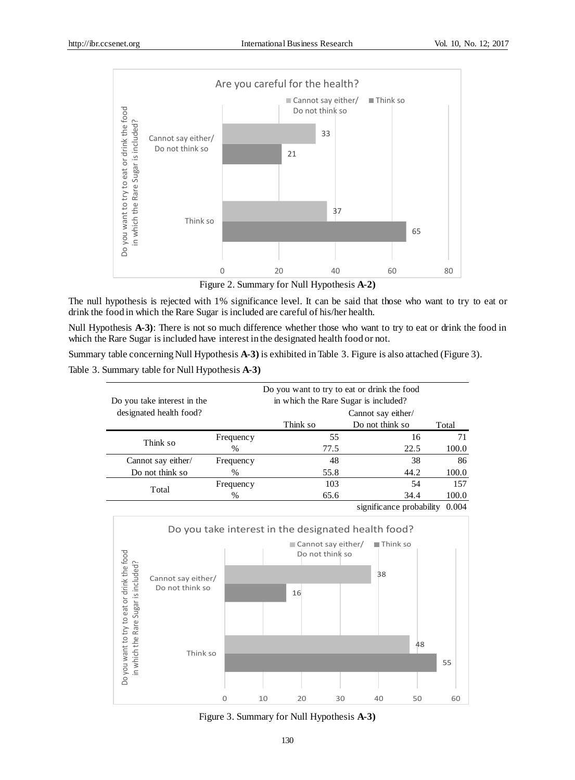

Figure 2. Summary for Null Hypothesis **A-2)**

The null hypothesis is rejected with 1% significance level. It can be said that those who want to try to eat or drink the food in which the Rare Sugar is included are careful of his/her health.

Null Hypothesis A-3): There is not so much difference whether those who want to try to eat or drink the food in which the Rare Sugar is included have interest in the designated health food or not.

Summary table concerning Null Hypothesis **A-3)** is exhibited in Table 3. Figure is also attached (Figure 3).

Table 3. Summary table for Null Hypothesis **A-3)**

| Do you take interest in the |           | Do you want to try to eat or drink the food<br>in which the Rare Sugar is included? |                    |                 |  |  |  |
|-----------------------------|-----------|-------------------------------------------------------------------------------------|--------------------|-----------------|--|--|--|
| designated health food?     |           |                                                                                     | Cannot say either/ |                 |  |  |  |
|                             |           | Think so                                                                            | Do not think so    | Total           |  |  |  |
|                             | Frequency | 55                                                                                  | 16                 | 71              |  |  |  |
| Think so                    | $\%$      | 77.5                                                                                | 22.5               | 100.0           |  |  |  |
| Cannot say either/          | Frequency | 48                                                                                  | 38                 | 86              |  |  |  |
| Do not think so             | $\%$      | 55.8                                                                                | 44.2               | 100.0           |  |  |  |
| Total                       | Frequency | 103                                                                                 | 54                 | 157             |  |  |  |
|                             | $\%$      | 65.6                                                                                | 34.4               | 100.0           |  |  |  |
|                             |           |                                                                                     | $\cdot$ $\sim$     | 0.001<br>1.1.11 |  |  |  |



Figure 3. Summary for Null Hypothesis **A-3)**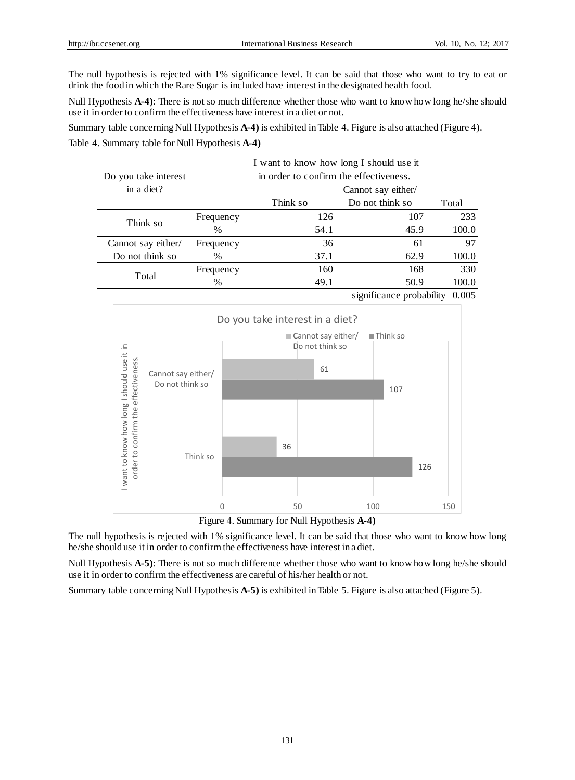The null hypothesis is rejected with 1% significance level. It can be said that those who want to try to eat or drink the food in which the Rare Sugar is included have interest in the designated health food.

Null Hypothesis **A-4)**: There is not so much difference whether those who want to know how long he/she should use it in order to confirm the effectiveness have interest in a diet or not.

Summary table concerning Null Hypothesis **A-4)** is exhibited in Table 4. Figure is also attached (Figure 4). Table 4. Summary table for Null Hypothesis **A-4)**

| Do you take interest |           | I want to know how long I should use it<br>in order to confirm the effectiveness. |                          |       |
|----------------------|-----------|-----------------------------------------------------------------------------------|--------------------------|-------|
| in a diet?           |           |                                                                                   | Cannot say either/       |       |
|                      |           | Think so                                                                          | Do not think so          | Total |
|                      | Frequency | 126                                                                               | 107                      | 233   |
| Think so             | $\%$      | 54.1                                                                              | 45.9                     | 100.0 |
| Cannot say either/   | Frequency | 36                                                                                | 61                       | 97    |
| Do not think so      | $\%$      | 37.1                                                                              | 62.9                     | 100.0 |
|                      | Frequency | 160                                                                               | 168                      | 330   |
| Total                | $\%$      | 49.1                                                                              | 50.9                     | 100.0 |
|                      |           |                                                                                   | significance probability | 0.005 |



Figure 4. Summary for Null Hypothesis **A-4)**

The null hypothesis is rejected with 1% significance level. It can be said that those who want to know how long he/she should use it in order to confirm the effectiveness have interest in a diet.

Null Hypothesis **A-5)**: There is not so much difference whether those who want to know how long he/she should use it in order to confirm the effectiveness are careful of his/her health or not.

Summary table concerning Null Hypothesis **A-5)** is exhibited in Table 5. Figure is also attached (Figure 5).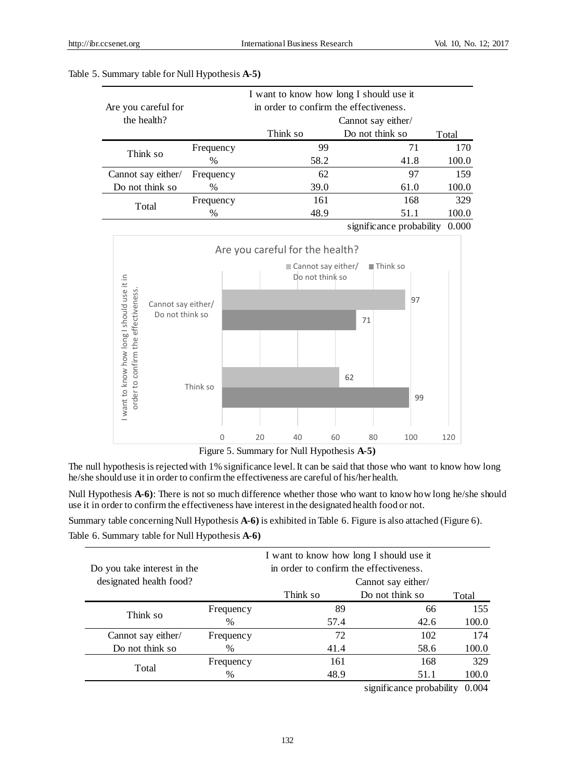|                     |                    | I want to know how long I should use it |                          |       |  |  |
|---------------------|--------------------|-----------------------------------------|--------------------------|-------|--|--|
| Are you careful for |                    | in order to confirm the effectiveness.  |                          |       |  |  |
| the health?         | Cannot say either/ |                                         |                          |       |  |  |
|                     |                    | Think so                                | Do not think so          | Total |  |  |
| Think so            | Frequency          | 99                                      | 71                       | 170   |  |  |
|                     | $\%$               | 58.2                                    | 41.8                     | 100.0 |  |  |
| Cannot say either/  | Frequency          | 62                                      | 97                       | 159   |  |  |
| Do not think so     | $\%$               | 39.0                                    | 61.0                     | 100.0 |  |  |
| Total               | Frequency          | 161                                     | 168                      | 329   |  |  |
|                     | $\frac{0}{0}$      | 48.9                                    | 51.1                     | 100.0 |  |  |
|                     |                    |                                         | significance probability | 0.000 |  |  |

#### Table 5. Summary table for Null Hypothesis **A-5)**



Figure 5. Summary for Null Hypothesis **A-5)**

The null hypothesis is rejected with 1% significance level. It can be said that those who want to know how long he/she should use it in order to confirm the effectiveness are careful of his/her health.

Null Hypothesis **A-6)**: There is not so much difference whether those who want to know how long he/she should use it in order to confirm the effectiveness have interest in the designated health food or not.

Summary table concerning Null Hypothesis **A-6)** is exhibited in Table 6. Figure is also attached (Figure 6). Table 6. Summary table for Null Hypothesis **A-6)**

| Do you take interest in the |                  | I want to know how long I should use it<br>in order to confirm the effectiveness. |                    |       |  |  |
|-----------------------------|------------------|-----------------------------------------------------------------------------------|--------------------|-------|--|--|
| designated health food?     |                  |                                                                                   | Cannot say either/ |       |  |  |
|                             |                  | Think so                                                                          | Do not think so    | Total |  |  |
| Think so                    | Frequency        | 89                                                                                | 66                 | 155   |  |  |
|                             | $\%$             | 57.4                                                                              | 42.6               | 100.0 |  |  |
| Cannot say either/          | <b>Frequency</b> | 72                                                                                | 102                | 174   |  |  |
| Do not think so             | $\%$             | 41.4                                                                              | 58.6               | 100.0 |  |  |
|                             | Frequency        | 161                                                                               | 168                | 329   |  |  |
| Total                       | $\%$             | 48.9                                                                              | 51.1               | 100.0 |  |  |
|                             |                  |                                                                                   |                    |       |  |  |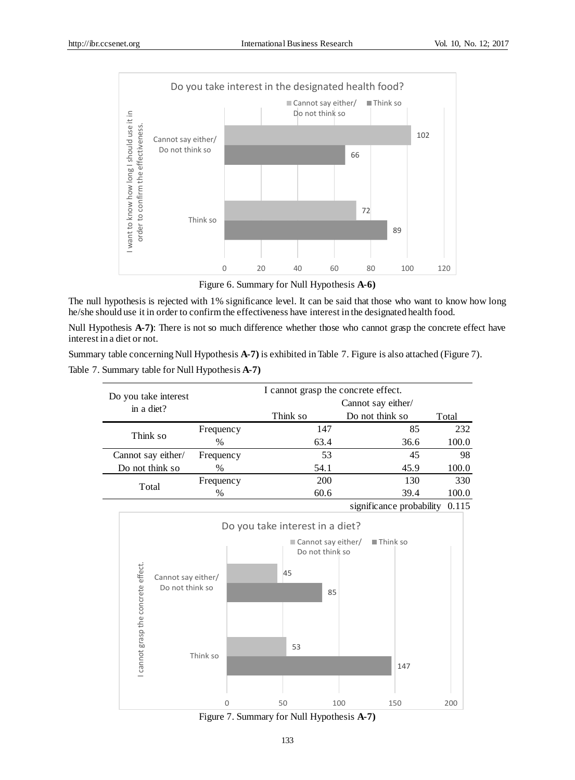

Figure 6. Summary for Null Hypothesis **A-6)**

The null hypothesis is rejected with 1% significance level. It can be said that those who want to know how long he/she should use it in order to confirm the effectiveness have interest in the designated health food.

Null Hypothesis A-7): There is not so much difference whether those who cannot grasp the concrete effect have interest in a diet or not.

Summary table concerning Null Hypothesis **A-7)** is exhibited in Table 7. Figure is also attached (Figure 7).

Table 7. Summary table for Null Hypothesis **A-7)**

| Do you take interest | I cannot grasp the concrete effect. |                    |                          |       |  |
|----------------------|-------------------------------------|--------------------|--------------------------|-------|--|
| in a diet?           |                                     | Cannot say either/ |                          |       |  |
|                      |                                     | Think so           | Do not think so          | Total |  |
| Think so             | Frequency                           | 147                | 85                       | 232   |  |
|                      | $\frac{0}{0}$                       | 63.4               | 36.6                     | 100.0 |  |
| Cannot say either/   | Frequency                           | 53                 | 45                       | 98    |  |
| Do not think so      | %                                   | 54.1               | 45.9                     | 100.0 |  |
|                      | Frequency                           | <b>200</b>         | 130                      | 330   |  |
| Total                | %                                   | 60.6               | 39.4                     | 100.0 |  |
|                      |                                     |                    | significance probability | 0.115 |  |

Do you take interest in a diet? Cannot say either/ Think so Do not think so I cannot grasp the concrete effect. I cannot grasp the concrete effect. 45 Cannot say either/ Do not think so 85 53 Think so 147 0 50 100 150 200

Figure 7. Summary for Null Hypothesis **A-7)**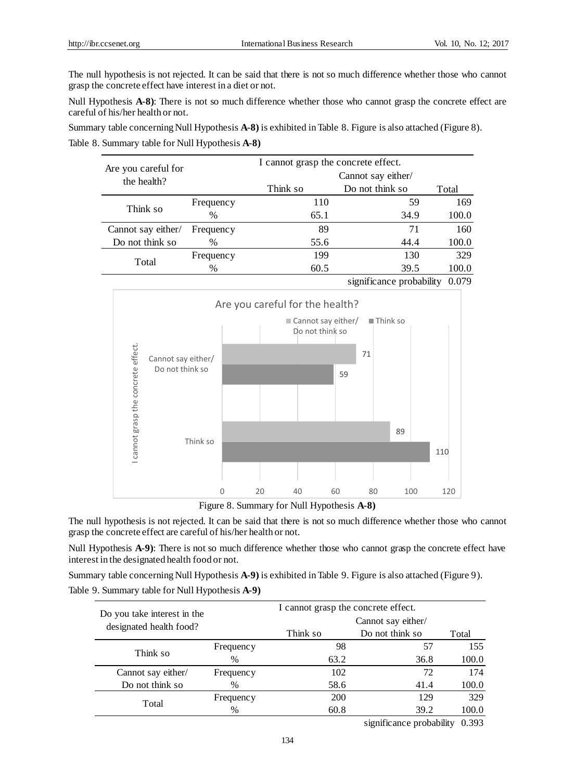The null hypothesis is not rejected. It can be said that there is not so much difference whether those who cannot grasp the concrete effect have interest in a diet or not.

Null Hypothesis A-8): There is not so much difference whether those who cannot grasp the concrete effect are careful of his/her health or not.

Summary table concerning Null Hypothesis **A-8)** is exhibited in Table 8. Figure is also attached (Figure 8). Table 8. Summary table for Null Hypothesis **A-8)**

| Are you careful for | I cannot grasp the concrete effect. |                    |                 |       |  |
|---------------------|-------------------------------------|--------------------|-----------------|-------|--|
| the health?         |                                     | Cannot say either/ |                 |       |  |
|                     |                                     | Think so           | Do not think so | Total |  |
| Think so            | <b>Frequency</b>                    | 110                | 59              | 169   |  |
|                     | $\%$                                | 65.1               | 34.9            | 100.0 |  |
| Cannot say either/  | Frequency                           | 89                 | 71              | 160   |  |
| Do not think so     | %                                   | 55.6               | 44.4            | 100.0 |  |
| Total               | Frequency                           | 199                | 130             | 329   |  |
|                     | $\%$                                | 60.5               | 39.5            |       |  |



Figure 8. Summary for Null Hypothesis **A-8)**

The null hypothesis is not rejected. It can be said that there is not so much difference whether those who cannot grasp the concrete effect are careful of his/her health or not.

Null Hypothesis A-9): There is not so much difference whether those who cannot grasp the concrete effect have interest in the designated health food or not.

Summary table concerning Null Hypothesis **A-9)** is exhibited in Table 9. Figure is also attached (Figure 9).

Table 9. Summary table for Null Hypothesis **A-9)**

| Do you take interest in the | I cannot grasp the concrete effect. |                    |                                                               |       |  |  |
|-----------------------------|-------------------------------------|--------------------|---------------------------------------------------------------|-------|--|--|
| designated health food?     |                                     | Cannot say either/ |                                                               |       |  |  |
|                             |                                     | Think so           | Do not think so                                               | Total |  |  |
| Think so                    | Frequency                           | 98                 | 57                                                            | 155   |  |  |
|                             | $\%$                                | 63.2               | 36.8                                                          | 100.0 |  |  |
| Cannot say either/          | Frequency                           | 102                | 72                                                            | 174   |  |  |
| Do not think so             | $\%$                                | 58.6               | 41.4                                                          | 100.0 |  |  |
|                             | Frequency                           | 200                | 129                                                           | 329   |  |  |
| Total                       | $\%$                                | 60.8               | 39.2                                                          | 100.0 |  |  |
|                             |                                     |                    | $\cdot$ $\sim$<br>٠<br>$\mathbf{1}$ $\mathbf{1}$ $\mathbf{1}$ | 0.222 |  |  |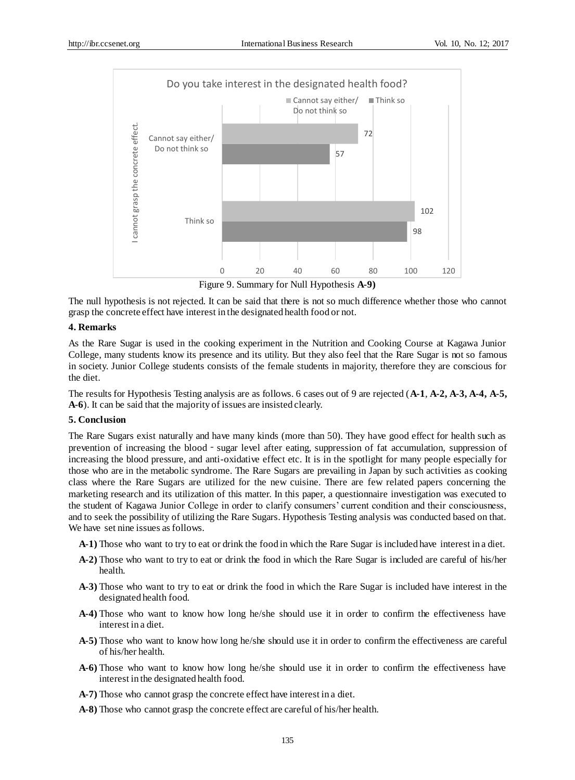

Figure 9. Summary for Null Hypothesis **A-9)**

The null hypothesis is not rejected. It can be said that there is not so much difference whether those who cannot grasp the concrete effect have interest in the designated health food or not.

### **4. Remarks**

As the Rare Sugar is used in the cooking experiment in the Nutrition and Cooking Course at Kagawa Junior College, many students know its presence and its utility. But they also feel that the Rare Sugar is not so famous in society. Junior College students consists of the female students in majority, therefore they are conscious for the diet.

The results for Hypothesis Testing analysis are as follows. 6 cases out of 9 are rejected (**A-1**, **A-2, A-3, A-4, A-5, A-6**). It can be said that the majority of issues are insisted clearly.

### **5. Conclusion**

The Rare Sugars exist naturally and have many kinds (more than 50). They have good effect for health such as prevention of increasing the blood - sugar level after eating, suppression of fat accumulation, suppression of increasing the blood pressure, and anti-oxidative effect etc. It is in the spotlight for many people especially for those who are in the metabolic syndrome. The Rare Sugars are prevailing in Japan by such activities as cooking class where the Rare Sugars are utilized for the new cuisine. There are few related papers concerning the marketing research and its utilization of this matter. In this paper, a questionnaire investigation was executed to the student of Kagawa Junior College in order to clarify consumers' current condition and their consciousness, and to seek the possibility of utilizing the Rare Sugars. Hypothesis Testing analysis was conducted based on that. We have set nine issues as follows.

- **A-1)** Those who want to try to eat or drink the food in which the Rare Sugar is included have interest in a diet.
- **A-2)** Those who want to try to eat or drink the food in which the Rare Sugar is included are careful of his/her health.
- **A-3)** Those who want to try to eat or drink the food in which the Rare Sugar is included have interest in the designated health food.
- **A-4)** Those who want to know how long he/she should use it in order to confirm the effectiveness have interest in a diet.
- **A-5)** Those who want to know how long he/she should use it in order to confirm the effectiveness are careful of his/her health.
- **A-6)** Those who want to know how long he/she should use it in order to confirm the effectiveness have interest in the designated health food.
- **A-7)** Those who cannot grasp the concrete effect have interest in a diet.
- **A-8)** Those who cannot grasp the concrete effect are careful of his/her health.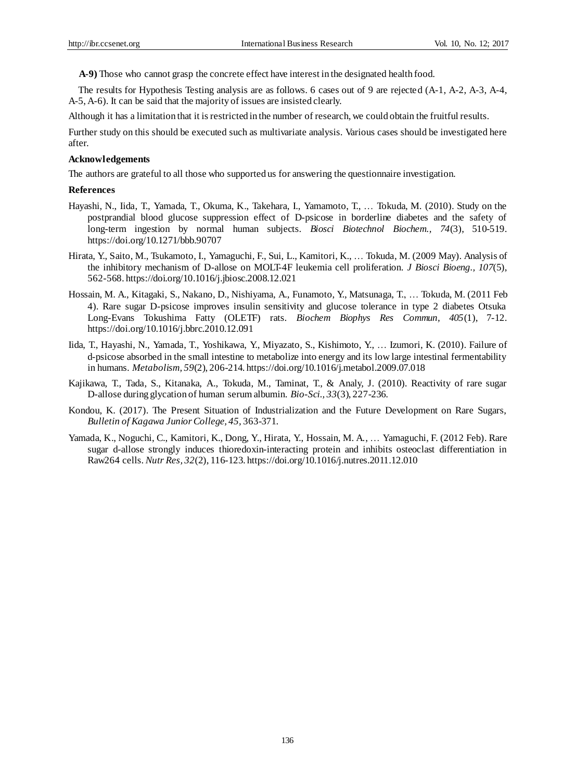**A-9)** Those who cannot grasp the concrete effect have interest in the designated health food.

The results for Hypothesis Testing analysis are as follows. 6 cases out of 9 are rejected (A-1, A-2, A-3, A-4, A-5, A-6). It can be said that the majority of issues are insisted clearly.

Although it has a limitation that it is restricted in the number of research, we could obtain the fruitful results.

Further study on this should be executed such as multivariate analysis. Various cases should be investigated here after.

#### **Acknowledgements**

The authors are grateful to all those who supported us for answering the questionnaire investigation.

#### **References**

- Hayashi, N., Iida, T., Yamada, T., Okuma, K., Takehara, I., Yamamoto, T., … Tokuda, M. (2010). Study on the postprandial blood glucose suppression effect of D-psicose in borderline diabetes and the safety of long-term ingestion by normal human subjects. *Biosci Biotechnol Biochem., 74*(3), 510-519. https://doi.org/10.1271/bbb.90707
- Hirata, Y., Saito, M., Tsukamoto, I., Yamaguchi, F., Sui, L., Kamitori, K., … Tokuda, M. (2009 May). Analysis of the inhibitory mechanism of D-allose on MOLT-4F leukemia cell proliferation. *J Biosci Bioeng., 107*(5), 562-568. https://doi.org/10.1016/j.jbiosc.2008.12.021
- Hossain, M. A., Kitagaki, S., Nakano, D., Nishiyama, A., Funamoto, Y., Matsunaga, T., … Tokuda, M. (2011 Feb 4). Rare sugar D-psicose improves insulin sensitivity and glucose tolerance in type 2 diabetes Otsuka Long-Evans Tokushima Fatty (OLETF) rats. *Biochem Biophys Res Commun, 405*(1), 7-12. https://doi.org/10.1016/j.bbrc.2010.12.091
- Iida, T., Hayashi, N., Yamada, T., Yoshikawa, Y., Miyazato, S., Kishimoto, Y., … Izumori, K. (2010). Failure of d-psicose absorbed in the small intestine to metabolize into energy and its low large intestinal fermentability in humans. *Metabolism, 59*(2), 206-214. https://doi.org/10.1016/j.metabol.2009.07.018
- Kajikawa, T., Tada, S., Kitanaka, A., Tokuda, M., Taminat, T., & Analy, J. (2010). Reactivity of rare sugar D-allose during glycation of human serum albumin. *Bio-Sci., 33*(3), 227-236.
- Kondou, K. (2017). The Present Situation of Industrialization and the Future Development on Rare Sugars, *Bulletin of Kagawa Junior College, 45,* 363-371.
- Yamada, K., Noguchi, C., Kamitori, K., Dong, Y., Hirata, Y., Hossain, M. A., … Yamaguchi, F. (2012 Feb). Rare sugar d-allose strongly induces thioredoxin-interacting protein and inhibits osteoclast differentiation in Raw264 cells. *Nutr Res, 32*(2), 116-123. https://doi.org/10.1016/j.nutres.2011.12.010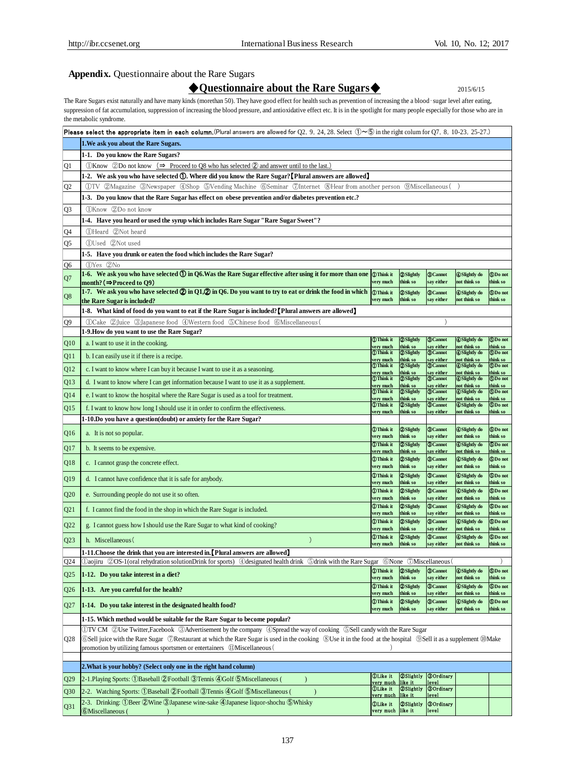### **Appendix.** Questionnaire about the Rare Sugars

◆**Questionnaire about the Rare Sugars**◆ 2015/6/15

The Rare Sugars exist naturally and have many kinds (morethan 50). They have good effect for health such as prevention of increasing the a blood-sugar level after eating, suppression of fat accumulation, suppression of increasing the blood pressure, and antioxidative effect etc. It is in the spotlight for many people especially for those who are in the metabolic syndrome.

|                 | <b>Please select the appropriate item in each column.</b> (Plural answers are allowed for Q2, 9, 24, 28. Select $\mathbb{O} \sim \mathbb{S}$ in the right colum for Q7, 8, 10-23, 25-27.)                  |                                             |                                      |                                      |                                             |                            |
|-----------------|------------------------------------------------------------------------------------------------------------------------------------------------------------------------------------------------------------|---------------------------------------------|--------------------------------------|--------------------------------------|---------------------------------------------|----------------------------|
|                 | 1. We ask you about the Rare Sugars.                                                                                                                                                                       |                                             |                                      |                                      |                                             |                            |
|                 | 1-1. Do you know the Rare Sugars?                                                                                                                                                                          |                                             |                                      |                                      |                                             |                            |
| Q1              | (1) Know ⊘Do not know ( $\Rightarrow$ Proceed to O8 who has selected ⊘ and answer until to the last.)                                                                                                      |                                             |                                      |                                      |                                             |                            |
|                 | 1-2. We ask you who have selected (1). Where did you know the Rare Sugar? [Plural answers are allowed]                                                                                                     |                                             |                                      |                                      |                                             |                            |
| Q2              | QTV QMagazine 3Newspaper 4Shop 5Vending Machine 6Seminar 70Internet 8Hear from another person<br><b><i><u>OMiscellaneous</u></i></b>                                                                       |                                             |                                      |                                      |                                             |                            |
|                 | 1.3. Do you know that the Rare Sugar has effect on obese prevention and/or diabetes prevention etc.?                                                                                                       |                                             |                                      |                                      |                                             |                            |
| Q3              | (DKnow 2Do not know                                                                                                                                                                                        |                                             |                                      |                                      |                                             |                            |
|                 | 1-4. Have you heard or used the syrup which includes Rare Sugar "Rare Sugar Sweet"?                                                                                                                        |                                             |                                      |                                      |                                             |                            |
| Q4              | (1)Heard (2)Not heard                                                                                                                                                                                      |                                             |                                      |                                      |                                             |                            |
| Q5              | (DUsed 2Not used                                                                                                                                                                                           |                                             |                                      |                                      |                                             |                            |
|                 | 1-5. Have you drunk or eaten the food which includes the Rare Sugar?                                                                                                                                       |                                             |                                      |                                      |                                             |                            |
| О6              | (DYes 2No                                                                                                                                                                                                  |                                             |                                      |                                      |                                             |                            |
| Q7              | 1-6. We ask you who have selected $\bigcirc$ in Q6. Was the Rare Sugar effective after using it for more than one $\bigcirc$ Think it                                                                      |                                             | <b>2</b> Slightly                    | <b>3</b> Cannot                      | <b>ASlightly do</b>                         | <b>SDo not</b>             |
|                 | month? ( $\Rightarrow$ Proceed to Q9)<br>1-7. We ask you who have selected $\bigcirc$ in Q1, $\bigcirc$ in Q6. Do you want to try to eat or drink the food in which                                        | very much<br><b>Think</b> it                | think so<br><b>2</b> Slightly        | say either<br><b>3</b> Cannot        | not think so<br><b>ASlightly do</b>         | think so<br><b>SDo not</b> |
| Q8              | the Rare Sugar is included?                                                                                                                                                                                | very much                                   | think so                             | say either                           | not think so                                | think so                   |
|                 | 1-8. What kind of food do you want to eat if the Rare Sugar is included? [Plural answers are allowed]                                                                                                      |                                             |                                      |                                      |                                             |                            |
| Q9              | (DCake 2)Juice 3)Japanese food 4)Western food 5 Chinese food 6)Miscellaneous                                                                                                                               |                                             |                                      |                                      |                                             |                            |
|                 | 1-9. How do you want to use the Rare Sugar?                                                                                                                                                                |                                             |                                      |                                      |                                             |                            |
| Q10             | a. I want to use it in the cooking.                                                                                                                                                                        | <b><i>OThink</i></b> it<br>very much        | <b>2</b> Slightly<br>think so        | <b>@Cannot</b><br>say either         | <b>ASlightly</b> do<br>not think so         | <b>ODo</b> not<br>think so |
| Q11             | b. I can easily use it if there is a recipe.                                                                                                                                                               | <b>Think it</b>                             | <b>2</b> Slightly                    | <b>3</b> Cannot                      | <b>ASlightly do</b>                         | <b>GDo not</b>             |
| Q12             | c. I want to know where I can buy it because I want to use it as a seasoning.                                                                                                                              | very much<br><b>Think it</b>                | think so<br><b>2</b> Slightly        | say either<br><b>3</b> Cannot        | not think so<br><b>ASlightly</b> do         | think so<br><b>SDo not</b> |
|                 |                                                                                                                                                                                                            | very much<br><b><i>OThink</i></b> it        | think so<br><b>2</b> Slightly        | say either<br><b>3</b> Cannot        | not think so<br><b>ASlightly do</b>         | think so<br><b>SDo not</b> |
| Q13             | d. I want to know where I can get information because I want to use it as a supplement.                                                                                                                    | very much<br><b><i><u>OThink</u></i></b> it | think so<br><b>2</b> Slightly        | say either<br><b>3</b> Cannot        | not think so<br><b>ASlightly do</b>         | think so<br><b>SDo not</b> |
| Q14             | e. I want to know the hospital where the Rare Sugar is used as a tool for treatment.                                                                                                                       | very much                                   | think so                             | say either                           | not think so                                | think so                   |
| Q15             | f. I want to know how long I should use it in order to confirm the effectiveness.                                                                                                                          | <b>Think it</b><br>very much                | <b>2</b> Slightly<br>think so        | <b>O</b> Cannot<br>say either        | <b>ASlightly do</b><br>not think so         | <b>EDo not</b><br>think so |
|                 | 1-10.Do you have a question(doubt) or anxiety for the Rare Sugar?                                                                                                                                          |                                             |                                      |                                      |                                             |                            |
| Q <sub>16</sub> | a. It is not so popular.                                                                                                                                                                                   | <b>Think</b> it<br>very much                | <b>2</b> Slightly<br>think so        | <b>3</b> Cannot<br>say either        | <b>ASlightly do</b><br>not think so         | <b>SDo not</b><br>think so |
| Q17             | b. It seems to be expensive.                                                                                                                                                                               | <b>Think it</b>                             | <b>2</b> Slightly                    | <b>3</b> Cannot                      | <b>A</b> Slightly do                        | <b>SDo not</b>             |
|                 |                                                                                                                                                                                                            | <u>very much</u><br><b>Think</b> it         | <u>think so</u><br><b>2</b> Slightly | <u>say either</u><br><b>3 Cannot</b> | <u>not think so</u><br><b>A</b> Slightly do | think so<br><b>SDo not</b> |
| Q18             | c. I cannot grasp the concrete effect.                                                                                                                                                                     | very much                                   | think so                             | say either                           | not think so                                | think so                   |
| Q19             | d. I cannot have confidence that it is safe for anybody.                                                                                                                                                   | <b>Think</b> it                             | <b>2</b> Slightly                    | <b>O</b> Cannot                      | <b>OSlightly</b> do                         | <b>SDo not</b>             |
|                 |                                                                                                                                                                                                            | very much<br><b>Think</b> it                | think so<br><b>2</b> Slightly        | say either<br><b>3</b> Cannot        | not think so<br><b>A</b> Slightly do        | think so<br><b>SDo not</b> |
| Q20             | e. Surrounding people do not use it so often.                                                                                                                                                              | very much                                   | think so                             | say either                           | not think so                                | think so                   |
| Q21             | f. I cannot find the food in the shop in which the Rare Sugar is included.                                                                                                                                 | <b>Think</b> it<br>very much                | <b>2</b> Slightly<br>think so        | <b>3 Cannot</b><br>say either        | <b>ASlightly do</b><br>not think so         | <b>SDo not</b><br>think so |
| Q22             | g. I cannot guess how I should use the Rare Sugar to what kind of cooking?                                                                                                                                 | <b>Think</b> it                             | 2Slightly                            | <b>3</b> Cannot                      | <b>ASlightly do</b>                         | <b>SDo not</b>             |
|                 |                                                                                                                                                                                                            | very much<br><b>Think</b> it                | think so<br><b>2</b> Slightly        | say either<br><b>3</b> Cannot        | not think so<br><b>ASlightly</b> do         | think so<br><b>CDo not</b> |
| Q23             | $\mathcal{E}$<br>h. Miscellaneous (                                                                                                                                                                        | very much                                   | think so                             | say either                           | not think so                                | think so                   |
|                 | [1-11. Choose the drink that you are interested in. Plural answers are allowed]                                                                                                                            |                                             |                                      |                                      |                                             |                            |
| Q24             | Daojiru 20S-1 (oral rehydration solutionDrink for sports) @designated health drink 5drink with the Rare Sugar 6None 7Miscellaneous (                                                                       |                                             |                                      |                                      |                                             |                            |
| Q25             | $\parallel$ 1-12. Do you take interest in a diet?                                                                                                                                                          | <b>Think</b> it<br>very much                | <b>2</b> Slightly<br>think so        | <b>O</b> Cannot<br>say either        | <b>ASlightly</b> do<br>not think so         | <b>SDo not</b><br>think so |
| Q26             | 1-13. Are you careful for the health?                                                                                                                                                                      | <b>Think</b> it                             | <b>2</b> Slightly                    | <b>3</b> Cannot                      | <b>ASlightly</b> do                         | <b>5Do not</b>             |
|                 |                                                                                                                                                                                                            | very much<br><b>Think</b> it                | think so<br><b>2</b> Slightly        | say either<br><b>3</b> Cannot        | not think so<br><b>ASlightly do</b>         | think so<br><b>SDo not</b> |
| Q27             | 1-14. Do you take interest in the designated health food?                                                                                                                                                  | very much                                   | think so                             | say either                           | not think so                                | think so                   |
|                 | 1-15. Which method would be suitable for the Rare Sugar to become popular?                                                                                                                                 |                                             |                                      |                                      |                                             |                            |
|                 | ①TV CM ②Use Twitter,Facebook ③Advertisement by the company ④Spread the way of cooking ⑤Sell candy with the Rare Sugar                                                                                      |                                             |                                      |                                      |                                             |                            |
| Q28             | <b>6</b> Sell juice with the Rare Sugar <b><i>O</i></b> Restaurant at which the Rare Sugar is used in the cooking <b>8</b> Use it in the food at the hospital <b>9Sell</b> it as a supplement <b>@Make</b> |                                             |                                      |                                      |                                             |                            |
|                 | promotion by utilizing famous sportsmen or entertainers (UMiscellaneous)                                                                                                                                   |                                             |                                      |                                      |                                             |                            |
|                 | 2. What is your hobby? (Select only one in the right hand column)                                                                                                                                          |                                             |                                      |                                      |                                             |                            |
| Q29             | 2-1. Playing Sports: (1) Baseball (2) Football (3) Tennis (4) Golf (5) Miscellaneous (<br>$\mathcal{E}$                                                                                                    | <b>DLike</b> it                             | <b>ØSlightly</b>                     | <b>30rdinary</b>                     |                                             |                            |
|                 | 2-2. Watching Sports: ①Baseball ②Football ③Tennis ④Golf ⑤Miscellaneous (                                                                                                                                   | very much<br><b><i>OLike it</i></b>         | like it<br><b>2Slightly</b>          | level<br><b>30rdinary</b>            |                                             |                            |
| Q30             | 2-3. Drinking: ①Beer ②Wine ③Japanese wine-sake ④Japanese liquor-shochu ⑤Whisky                                                                                                                             | very much                                   | like it                              | level                                |                                             |                            |
| Q31             | <b>6</b> Miscellaneous (                                                                                                                                                                                   | <b>OLike</b> it<br>very much like it        | <b>@Slightly</b>                     | <b>30rdinary</b><br>level            |                                             |                            |